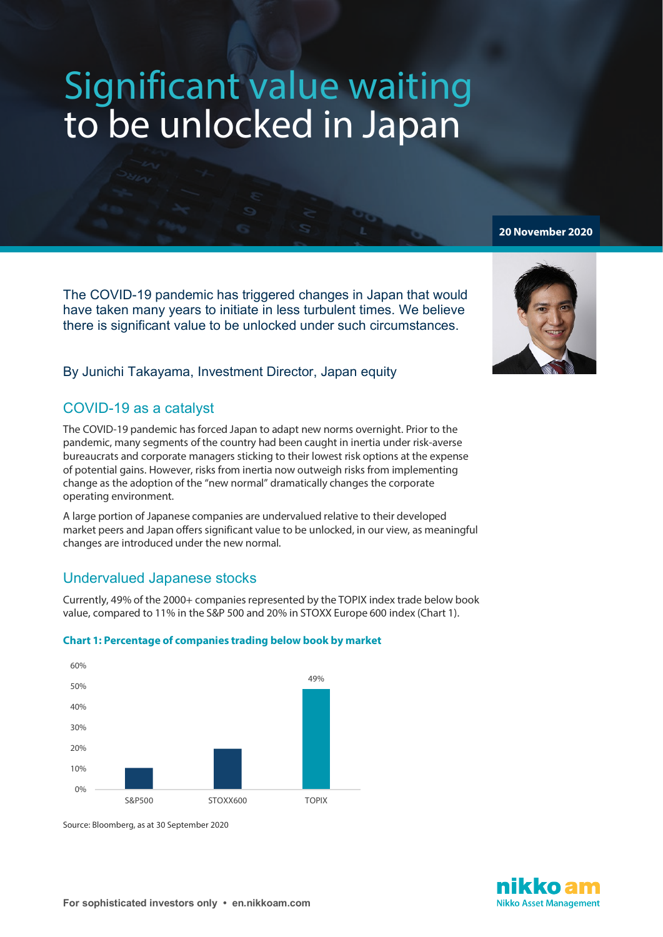# Significant value waiting<br>to be unlocked in Japan

The COVID-19 pandemic has triggered changes in Japan that would have taken many years to initiate in less turbulent times. We believe there is significant value to be unlocked under such circumstances.

## By Junichi Takayama, Investment Director, Japan equity

# COVID-19 as a catalyst

The COVID-19 pandemic has forced Japan to adapt new norms overnight. Prior to the pandemic, many segments of the country had been caught in inertia under risk-averse bureaucrats and corporate managers sticking to their lowest risk options at the expense of potential gains. However, risks from inertia now outweigh risks from implementing change as the adoption of the "new normal" dramatically changes the corporate operating environment.

A large portion of Japanese companies are undervalued relative to their developed market peers and Japan offers significant value to be unlocked, in our view, as meaningful changes are introduced under the new normal.

# Undervalued Japanese stocks

Currently, 49% of the 2000+ companies represented by the TOPIX index trade below book value, compared to 11% in the S&P 500 and 20% in STOXX Europe 600 index (Chart 1).

## **Chart 1: Percentage of companies trading below book by market**



Source: Bloomberg, as at 30 September 2020



**20 November 2020**

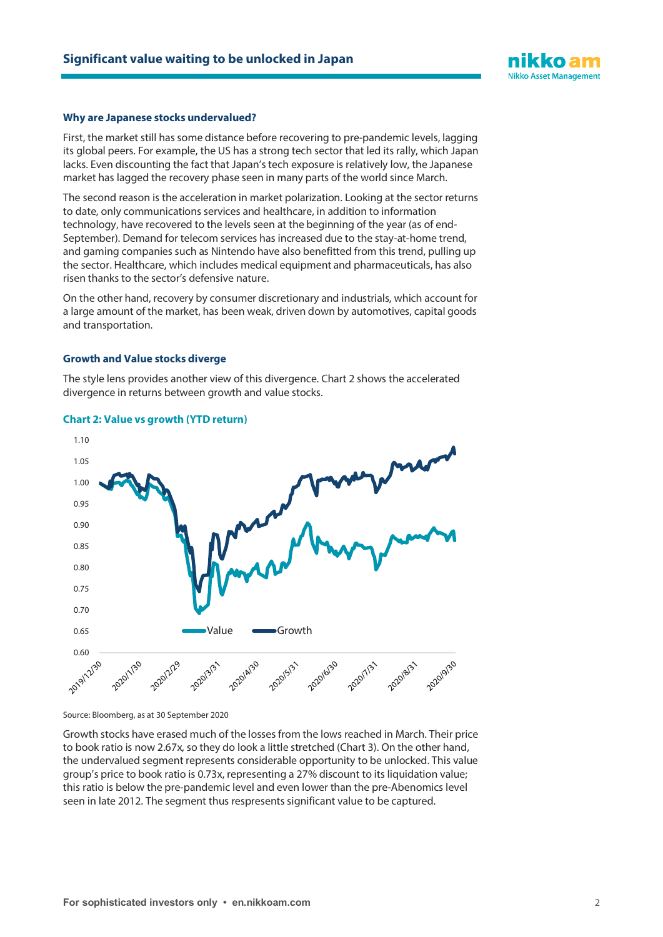

#### **Why are Japanese stocks undervalued?**

First, the market still has some distance before recovering to pre-pandemic levels, lagging its global peers. For example, the US has a strong tech sector that led its rally, which Japan lacks. Even discounting the fact that Japan's tech exposure is relatively low, the Japanese market has lagged the recovery phase seen in many parts of the world since March.

The second reason is the acceleration in market polarization. Looking at the sector returns to date, only communications services and healthcare, in addition to information technology, have recovered to the levels seen at the beginning of the year (as of end-September). Demand for telecom services has increased due to the stay-at-home trend, and gaming companies such as Nintendo have also benefitted from this trend, pulling up the sector. Healthcare, which includes medical equipment and pharmaceuticals, has also risen thanks to the sector's defensive nature.

On the other hand, recovery by consumer discretionary and industrials, which account for a large amount of the market, has been weak, driven down by automotives, capital goods and transportation.

#### **Growth and Value stocks diverge**

The style lens provides another view of this divergence. Chart 2 shows the accelerated divergence in returns between growth and value stocks.





Source: Bloomberg, as at 30 September 2020

Growth stocks have erased much of the losses from the lows reached in March. Their price to book ratio is now 2.67x, so they do look a little stretched (Chart 3). On the other hand, the undervalued segment represents considerable opportunity to be unlocked. This value group's price to book ratio is 0.73x, representing a 27% discount to its liquidation value; this ratio is below the pre-pandemic level and even lower than the pre-Abenomics level seen in late 2012. The segment thus respresents significant value to be captured.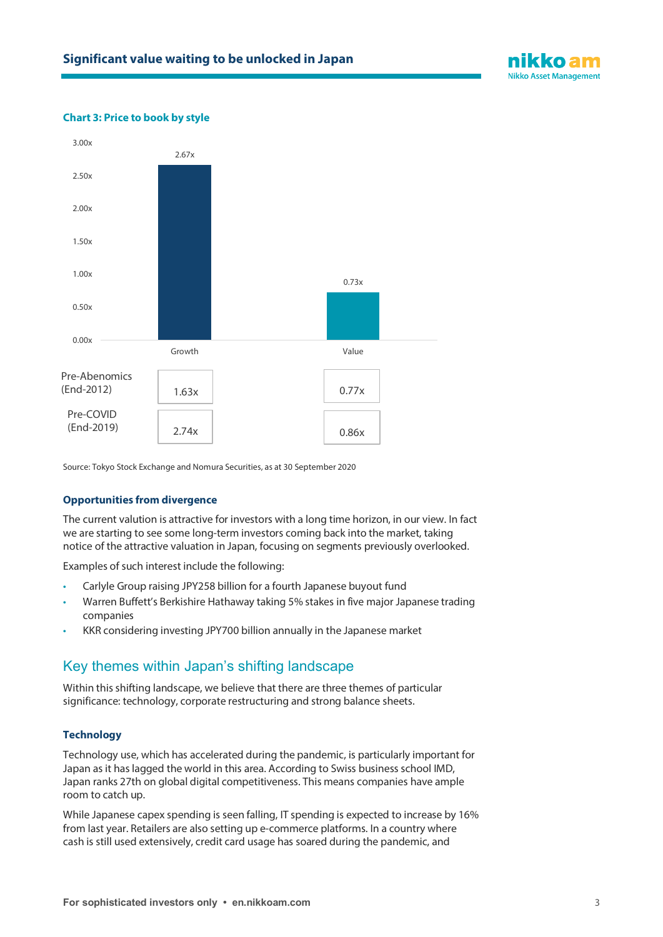

### **Chart 3: Price to book by style**



Source: Tokyo Stock Exchange and Nomura Securities, as at 30 September 2020

#### **Opportunities from divergence**

The current valution is attractive for investors with a long time horizon, in our view. In fact we are starting to see some long-term investors coming back into the market, taking notice of the attractive valuation in Japan, focusing on segments previously overlooked.

Examples of such interest include the following:

- Carlyle Group raising JPY258 billion for a fourth Japanese buyout fund
- Warren Buffett's Berkishire Hathaway taking 5% stakes in five major Japanese trading companies
- KKR considering investing JPY700 billion annually in the Japanese market

## Key themes within Japan's shifting landscape

Within this shifting landscape, we believe that there are three themes of particular significance: technology, corporate restructuring and strong balance sheets.

#### **Technology**

Technology use, which has accelerated during the pandemic, is particularly important for Japan as it has lagged the world in this area. According to Swiss business school IMD, Japan ranks 27th on global digital competitiveness. This means companies have ample room to catch up.

While Japanese capex spending is seen falling, IT spending is expected to increase by 16% from last year. Retailers are also setting up e-commerce platforms. In a country where cash is still used extensively, credit card usage has soared during the pandemic, and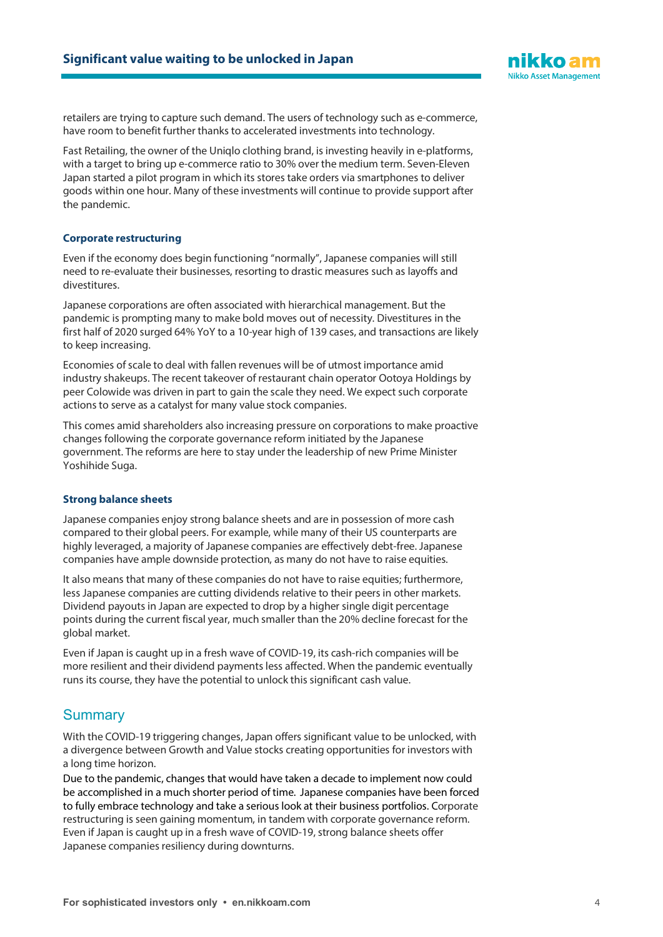

retailers are trying to capture such demand. The users of technology such as e-commerce, have room to benefit further thanks to accelerated investments into technology.

Fast Retailing, the owner of the Uniqlo clothing brand, is investing heavily in e-platforms, with a target to bring up e-commerce ratio to 30% over the medium term. Seven-Eleven Japan started a pilot program in which its stores take orders via smartphones to deliver goods within one hour. Many of these investments will continue to provide support after the pandemic.

### **Corporate restructuring**

Even if the economy does begin functioning "normally", Japanese companies will still need to re-evaluate their businesses, resorting to drastic measures such as layoffs and divestitures.

Japanese corporations are often associated with hierarchical management. But the pandemic is prompting many to make bold moves out of necessity. Divestitures in the first half of 2020 surged 64% YoY to a 10-year high of 139 cases, and transactions are likely to keep increasing.

Economies of scale to deal with fallen revenues will be of utmost importance amid industry shakeups. The recent takeover of restaurant chain operator Ootoya Holdings by peer Colowide was driven in part to gain the scale they need. We expect such corporate actions to serve as a catalyst for many value stock companies.

This comes amid shareholders also increasing pressure on corporations to make proactive changes following the corporate governance reform initiated by the Japanese government. The reforms are here to stay under the leadership of new Prime Minister Yoshihide Suga.

#### **Strong balance sheets**

Japanese companies enjoy strong balance sheets and are in possession of more cash compared to their global peers. For example, while many of their US counterparts are highly leveraged, a majority of Japanese companies are effectively debt-free. Japanese companies have ample downside protection, as many do not have to raise equities.

It also means that many of these companies do not have to raise equities; furthermore, less Japanese companies are cutting dividends relative to their peers in other markets. Dividend payouts in Japan are expected to drop by a higher single digit percentage points during the current fiscal year, much smaller than the 20% decline forecast for the global market.

Even if Japan is caught up in a fresh wave of COVID-19, its cash-rich companies will be more resilient and their dividend payments less affected. When the pandemic eventually runs its course, they have the potential to unlock this significant cash value.

## **Summary**

With the COVID-19 triggering changes, Japan offers significant value to be unlocked, with a divergence between Growth and Value stocks creating opportunities for investors with a long time horizon.

Due to the pandemic, changes that would have taken a decade to implement now could be accomplished in a much shorter period of time. Japanese companies have been forced to fully embrace technology and take a serious look at their business portfolios. Corporate restructuring is seen gaining momentum, in tandem with corporate governance reform. Even if Japan is caught up in a fresh wave of COVID-19, strong balance sheets offer Japanese companies resiliency during downturns.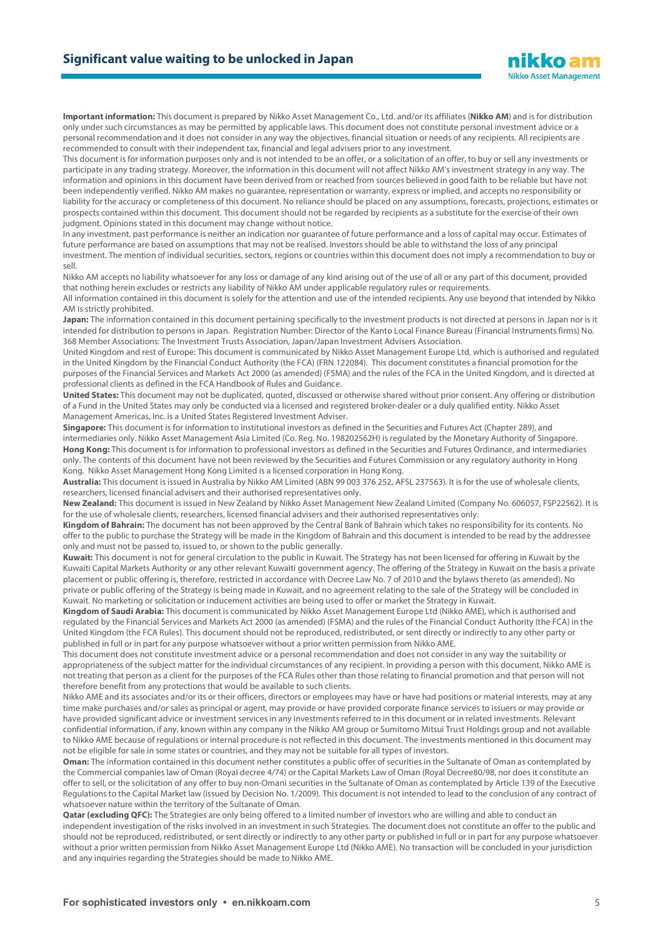

**Important information:** This document is prepared by Nikko Asset Management Co., Ltd. and/or its affiliates (**Nikko AM**) and is for distribution only under such circumstances as may be permitted by applicable laws. This document does not constitute personal investment advice or a personal recommendation and it does not consider in any way the objectives, financial situation or needs of any recipients. All recipients are recommended to consult with their independent tax, financial and legal advisers prior to any investment.

This document is for information purposes only and is not intended to be an offer, or a solicitation of an offer, to buy or sell any investments or participate in any trading strategy. Moreover, the information in this document will not affect Nikko AM's investment strategy in any way. The information and opinions in this document have been derived from or reached from sources believed in good faith to be reliable but have not been independently verified. Nikko AM makes no guarantee, representation or warranty, express or implied, and accepts no responsibility or liability for the accuracy or completeness of this document. No reliance should be placed on any assumptions, forecasts, projections, estimates or prospects contained within this document. This document should not be regarded by recipients as a substitute for the exercise of their own judgment. Opinions stated in this document may change without notice.

In any investment, past performance is neither an indication nor guarantee of future performance and a loss of capital may occur. Estimates of future performance are based on assumptions that may not be realised. Investors should be able to withstand the loss of any principal investment. The mention of individual securities, sectors, regions or countries within this document does not imply a recommendation to buy or sell.

Nikko AM accepts no liability whatsoever for any loss or damage of any kind arising out of the use of all or any part of this document, provided that nothing herein excludes or restricts any liability of Nikko AM under applicable regulatory rules or requirements.

All information contained in this document is solely for the attention and use of the intended recipients. Any use beyond that intended by Nikko AM is strictly prohibited.

**Japan:** The information contained in this document pertaining specifically to the investment products is not directed at persons in Japan nor is it intended for distribution to persons in Japan. Registration Number: Director of the Kanto Local Finance Bureau (Financial Instruments firms) No. 368 Member Associations: The Investment Trusts Association, Japan/Japan Investment Advisers Association.

United Kingdom and rest of Europe: This document is communicated by Nikko Asset Management Europe Ltd, which is authorised and regulated in the United Kingdom by the Financial Conduct Authority (the FCA) (FRN 122084). This document constitutes a financial promotion for the purposes of the Financial Services and Markets Act 2000 (as amended) (FSMA) and the rules of the FCA in the United Kingdom, and is directed at professional clients as defined in the FCA Handbook of Rules and Guidance.

**United States:** This document may not be duplicated, quoted, discussed or otherwise shared without prior consent. Any offering or distribution of a Fund in the United States may only be conducted via a licensed and registered broker-dealer or a duly qualified entity. Nikko Asset Management Americas, Inc. is a United States Registered Investment Adviser.

**Singapore:** This document is for information to institutional investors as defined in the Securities and Futures Act (Chapter 289), and intermediaries only. Nikko Asset Management Asia Limited (Co. Reg. No. 198202562H) is regulated by the Monetary Authority of Singapore. **Hong Kong:** This document is for information to professional investors as defined in the Securities and Futures Ordinance, and intermediaries only. The contents of this document have not been reviewed by the Securities and Futures Commission or any regulatory authority in Hong Kong. Nikko Asset Management Hong Kong Limited is a licensed corporation in Hong Kong.

**Australia:** This document is issued in Australia by Nikko AM Limited (ABN 99 003 376 252, AFSL 237563). It is for the use of wholesale clients, researchers, licensed financial advisers and their authorised representatives only.

**New Zealand:** This document is issued in New Zealand by Nikko Asset Management New Zealand Limited (Company No. 606057, FSP22562). It is for the use of wholesale clients, researchers, licensed financial advisers and their authorised representatives only.

**Kingdom of Bahrain:** The document has not been approved by the Central Bank of Bahrain which takes no responsibility for its contents. No offer to the public to purchase the Strategy will be made in the Kingdom of Bahrain and this document is intended to be read by the addressee only and must not be passed to, issued to, or shown to the public generally.

**Kuwait:** This document is not for general circulation to the public in Kuwait. The Strategy has not been licensed for offering in Kuwait by the Kuwaiti Capital Markets Authority or any other relevant Kuwaiti government agency. The offering of the Strategy in Kuwait on the basis a private placement or public offering is, therefore, restricted in accordance with Decree Law No. 7 of 2010 and the bylaws thereto (as amended). No private or public offering of the Strategy is being made in Kuwait, and no agreement relating to the sale of the Strategy will be concluded in Kuwait. No marketing or solicitation or inducement activities are being used to offer or market the Strategy in Kuwait.

**Kingdom of Saudi Arabia:** This document is communicated by Nikko Asset Management Europe Ltd (Nikko AME), which is authorised and regulated by the Financial Services and Markets Act 2000 (as amended) (FSMA) and the rules of the Financial Conduct Authority (the FCA) in the United Kingdom (the FCA Rules). This document should not be reproduced, redistributed, or sent directly or indirectly to any other party or published in full or in part for any purpose whatsoever without a prior written permission from Nikko AME.

This document does not constitute investment advice or a personal recommendation and does not consider in any way the suitability or appropriateness of the subject matter for the individual circumstances of any recipient. In providing a person with this document, Nikko AME is not treating that person as a client for the purposes of the FCA Rules other than those relating to financial promotion and that person will not therefore benefit from any protections that would be available to such clients.

Nikko AME and its associates and/or its or their officers, directors or employees may have or have had positions or material interests, may at any time make purchases and/or sales as principal or agent, may provide or have provided corporate finance services to issuers or may provide or have provided significant advice or investment services in any investments referred to in this document or in related investments. Relevant confidential information, if any, known within any company in the Nikko AM group or Sumitomo Mitsui Trust Holdings group and not available to Nikko AME because of regulations or internal procedure is not reflected in this document. The investments mentioned in this document may not be eligible for sale in some states or countries, and they may not be suitable for all types of investors.

**Oman:** The information contained in this document nether constitutes a public offer of securities in the Sultanate of Oman as contemplated by the Commercial companies law of Oman (Royal decree 4/74) or the Capital Markets Law of Oman (Royal Decree80/98, nor does it constitute an offer to sell, or the solicitation of any offer to buy non-Omani securities in the Sultanate of Oman as contemplated by Article 139 of the Executive Regulations to the Capital Market law (issued by Decision No. 1/2009). This document is not intended to lead to the conclusion of any contract of whatsoever nature within the territory of the Sultanate of Oman.

**Qatar (excluding QFC):** The Strategies are only being offered to a limited number of investors who are willing and able to conduct an independent investigation of the risks involved in an investment in such Strategies. The document does not constitute an offer to the public and should not be reproduced, redistributed, or sent directly or indirectly to any other party or published in full or in part for any purpose whatsoever without a prior written permission from Nikko Asset Management Europe Ltd (Nikko AME). No transaction will be concluded in your jurisdiction and any inquiries regarding the Strategies should be made to Nikko AME.